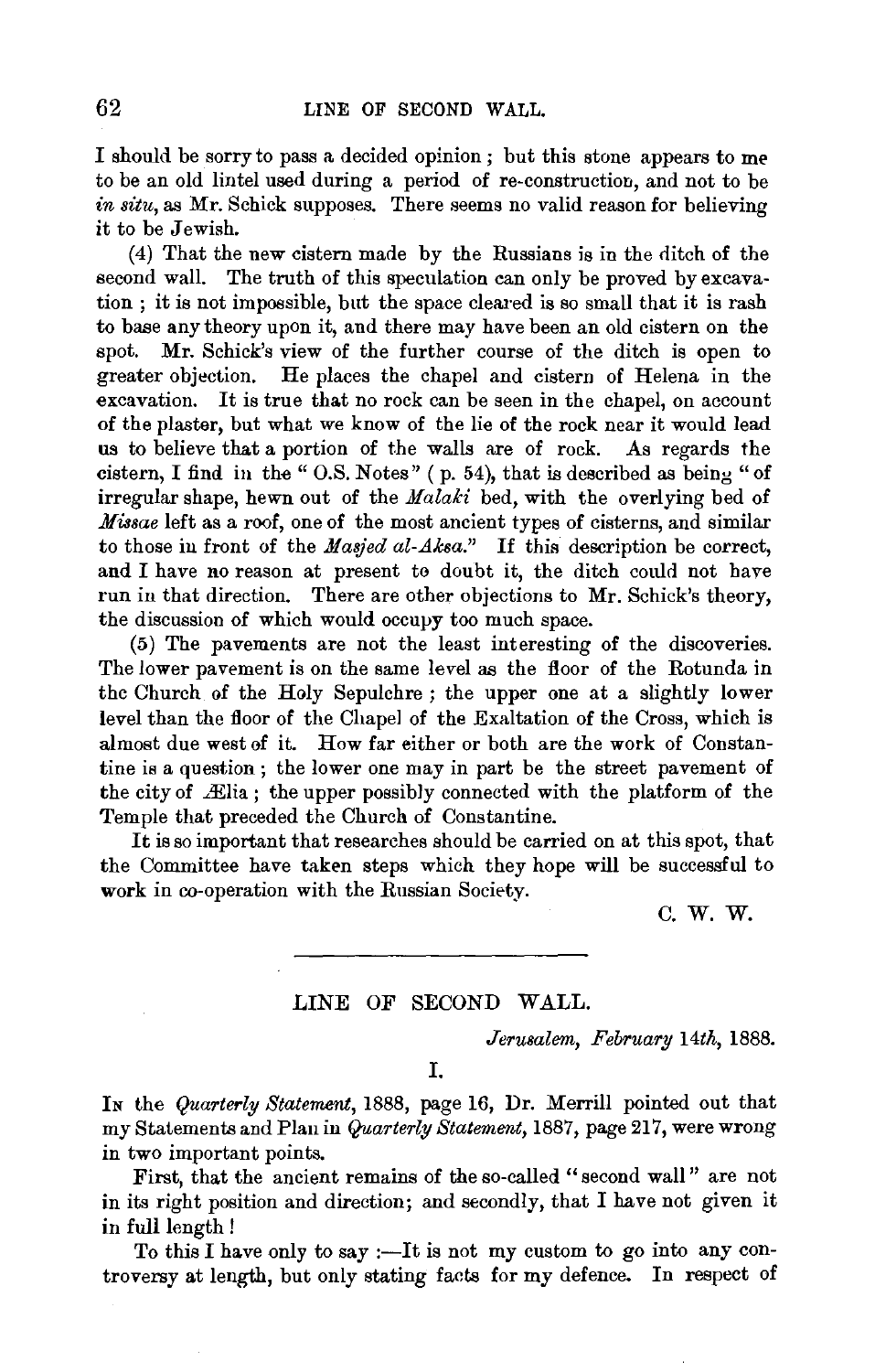I should be sorry to pass a decided opinion ; but this stone appears to me to be an old lintel used during a period of re-construction, and not to be *in situ,* as Mr. Schick supposes. There seems no valid reason for believing it to be Jewish.

(4) That the new cistern made by the Russians is in the ditch of the second wall. The truth of this speculation can only be proved by excavation ; it is not impossible, but the space cleared is so small that it is rash to base any theory upon it, and there may have been an old cistern on the spot. Mr. Schick's view of the further course of the ditch is open to greater objection. He places the chapel and cistern of Helena in the excavation. It is true that no rock can be seen in the chapel, on account of the plaster, but what we know of the lie of the rock near it would lead us to believe that a portion of the walls are of rock. As regards the cistern, I find in the " O.S. Notes" ( p. 54), that is described as being "of irregular shape, hewn out of the *Malaki* bed, with the overlying bed of *Missae* left as a roof, one of the most ancient types of cisterns, and similar to those in front of the *Masjed al-Aksa.*" If this description be correct, and I have no reason at present to doubt it, the ditch could not have run in that direction. There are other objections to Mr. Schick's theory, the discussion of which would occupy too much space.

(5) The pavements are not the least interesting of the discoveries. The lower pavement is on the same level as the floor of the Rotunda in the Church of the Holy Sepulchre ; the upper one at a slightly lower level than the floor of the Chapel of the Exaltation of the Cross, which is almost due west of it. How far either or both are the work of Constantine is a question; the lower one may in part be the street pavement of the city of  $E$ lia; the upper possibly connected with the platform of the Temple that preceded the Church of Constantine.

It is so important that researches should be carried on at this spot, that the Committee have taken steps which they hope will be successful to work in co-operation with the Russian Society.

c.w.w.

## LINE OF SECOND WALL.

*Jerusalem, February 14th,* 1888.

I.

IN the *Quarterly Statemem,* 1888, page 16, Dr. Merrill pointed out that my Statements and Plan in *Quarterly Statement,* 1887, page 217, were wrong in two important points.

First, that the ancient remains of the so-called "second wall" are not in its right position and direction; and secondly, that I have not given it in full length !

To this I have only to say :- It is not my custom to go into any controversy at length, but only stating facts for my defence. In respect of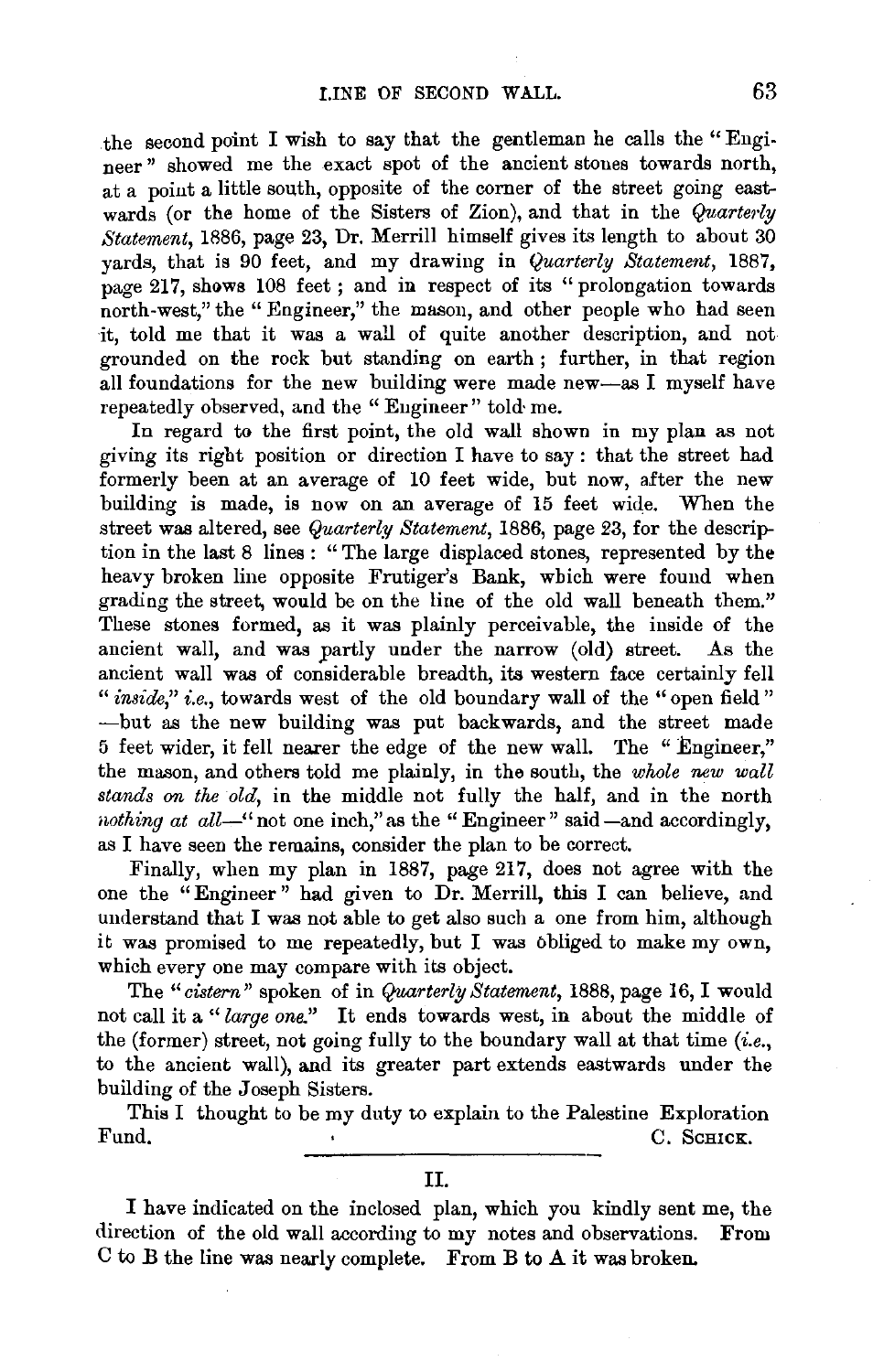the second point I wish to say that the gentleman he calls the "Engineer" showed me the exact spot of the ancient stones towards north, at a point a little south, opposite of the corner of the street going eastwards (or the home of the Sisters of Zion), and that in the *Quarterly Statement,* 1886, page 23, Dr. Merrill himself gives its length to about 30 yards, that is 90 feet, and my drawing in *Quarterly Statement,* 1887, page 217, shows 108 feet; and in respect of its "prolongation towards" north-west," the "Engineer," the mason, and other people who had seen it, told me that it was a wall of quite another description, and not grounded on the rock but standing on earth ; further, in that region all foundations for the new building were made new-as I myself have repeatedly observed, and the "Engineer'' told· me.

In regard to the first point, the old wall shown in my plan as not giving its right position or direction I have to say : that the street had formerly been at an average of 10 feet wide, but now, after the new building is made, is now on an average of 15 feet wide. When the street was altered, see *Quarterly Statement,* 1886, page 23, for the description in the last 8 lines : " The large displaced stones, represented by the heavy broken line opposite Frutiger's Bank, which were found when grading the street, would be on the line of the old wall beneath them." These stones formed, as it was plainly perceivable, the inside of the ancient wall, and was partly under the narrow (old) street. As the ancient wall was of considerable breadth, its western face certainly fell " *inside*," *i.e.*, towards west of the old boundary wall of the "open field" -but as the new building was put backwards, and the street made 5 feet wider, it fell nearer the edge of the new wall. The " Engineer," the mason, and others told me plainly, in the south, the *whole new wall stands on the old,* in the middle not fully the half, and in the north *nothing at all*-" not one inch," as the "Engineer" said-and accordingly, as I have seen the remains, consider the plan to be correct.

Finally, when my plan in 1887, page 217, does not agree with the one the "Engineer" had given to Dr. Merrill, this I can believe, and understand that I was not able to get also such a one from him, although it was promised to me repeatedly, but I was obliged to make my own, which every one may compare with its object.

The *"cistern"* spoken of in *Quarterly Statement,* 1888, page 16, I would not call it a "large one." It ends towards west, in about the middle of the (former) street, not going fully to the boundary wall at that time  $(i.e.,$ to the ancient wall), and its greater part extends eastwards under the building of the Joseph Sisters.

This I thought to be my duty to explain to the Palestine Exploration Fund. C. Schuck.

I have indicated on the inclosed plan, which you kindly sent me, the direction of the old wall according to my notes and observations. From  $C$  to  $B$  the line was nearly complete. From  $B$  to  $A$  it was broken.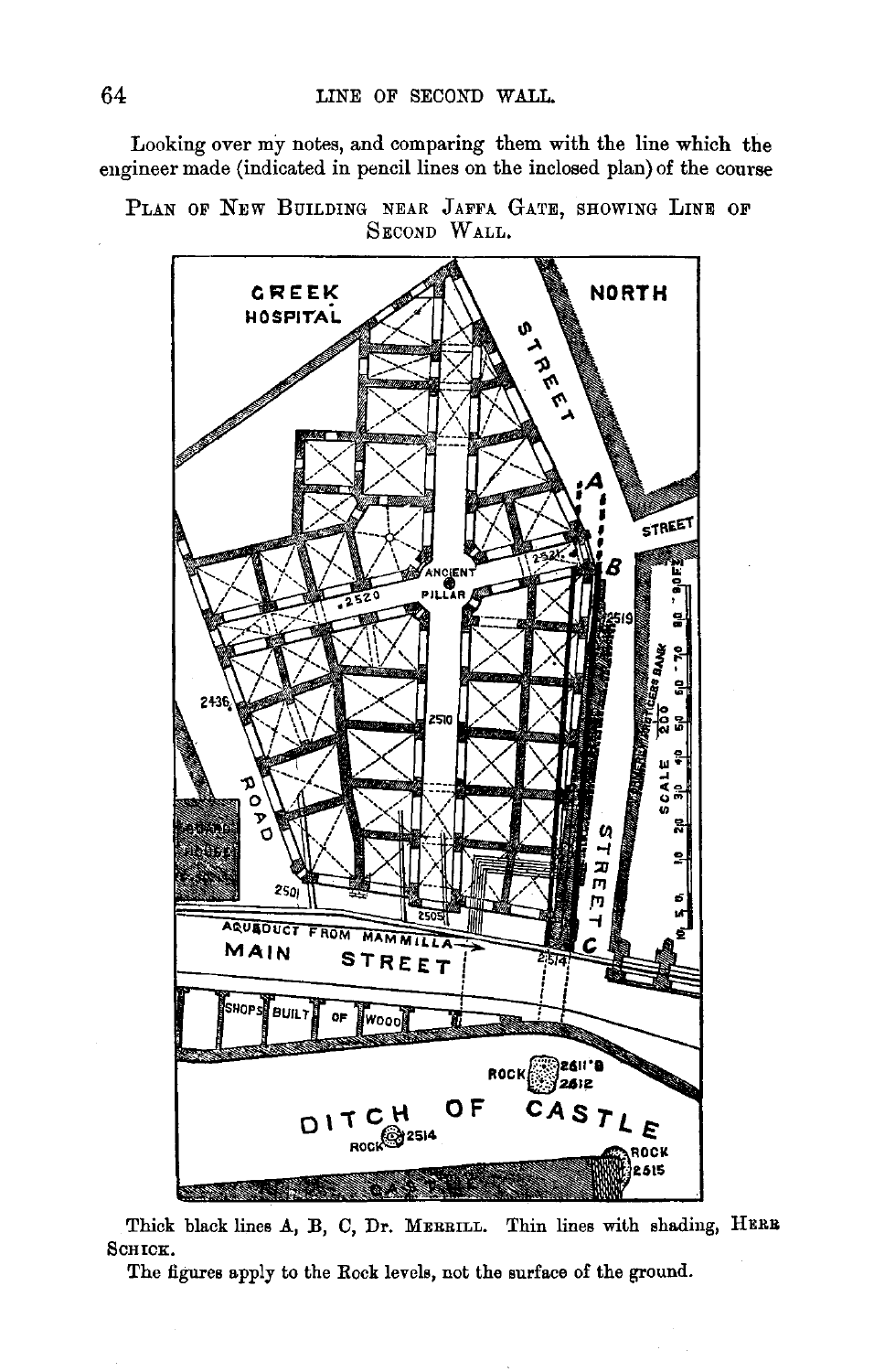Looking over my notes, and comparing them with the line which the engineer made (indicated in pencil lines on the inclosed plan) of the course

PLAN OF NEW BUILDING NEAR JAFFA GATE, SHOWING LINE OF SECOND WALL.



Thick black lines A, B, C, Dr. MERBILL. Thin lines with shading, HERB SCHICK.

The figures apply to the Rock levels, not the surface of the ground.